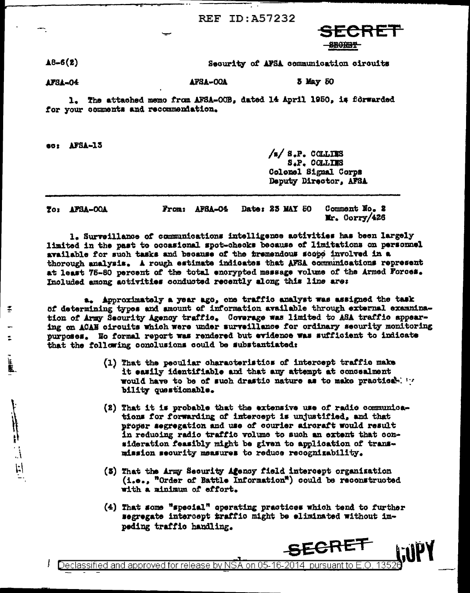**REF ID: A57232** 



 $48 - 6(2)$ Security of AFSA communication circuits

5 May 50 AFSA-OOA AFSA-04

1. The attached memo from AFSA-OOB, dated 14 April 1950, is forwarded for your comments and recommentation.

ec: AFSA-13

Ξ

 $/a/8.P.$  COLLINS S.P. COLLINS Colonel Signal Corps Deputy Director, AFSA

Date: 25 MAY 50 Comment No. 2 From: AFSA-04 To: AFSA-OOA Mr. Corry/426

1. Surveillance of communications intelligence activities has been largely limited in the past to occasional spot-checks because of limitations on personnel available for such tasks and because of the tremendous scope involved in a thorough analysis. A rough estimate indicates that AFSA communications represent at least 75-80 percent of the total encrypted message volume of the Armed Forces. Included among activities conducted recently along this line are:

a. Approximately a year ago, one traffic analyst was assigned the task of determining types and amount of information available through external exammination of Army Security Agency traffic. Coverage was limited to ASA traffic appearing on ACAN circuits which were under surveillance for ordinary security monitoring purposes. No formal report was rendered but evidence was sufficient to indicate that the following conclusions could be substantiated:

- (1) That the peculiar characteristics of intercept traffic make it easily identifiable and that any attempt at concealment would have to be of such drastic nature as to make practical. bility questionable.
- (2) That it is probable that the extensive use of radio communications for forwarding of intercept is unjustified, and that proper segregation and use of courier aircraft would result in reducing radio traffic volume to such an extent that consideration feasibly might be given to application of transmission security measures to reduce recognizability.
- (5) That the Army Security Agency field intercept organization (i.e., "Order of Battle Information") could be reconstructed with a minimum of effort.
- $(4)$  That some "special" operating practices which tend to further segregate intercept traffic might be eliminated without impeding traffic handling.

SECRET

Declassified and approved for release by NSA on 05-16-2014 pursuant to E.O. -135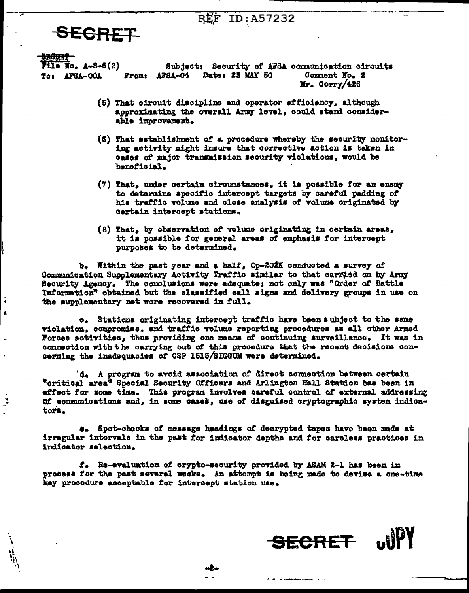## ID:A57232 RĖF

## **SECRET**

**irðæri** 

÷

š.

ءُ.

 $711e$  Io.  $A-8-6(2)$ 

To: AFSA-OOA

Subject: Security of AFSA communication circuits Date: 23 MAY 50 Comment No. 2 From: AFSA-04 Mr. Corry/426

- (5) That circuit discipline and operator efficiency, although approximating the overall Army level, could stand considerable improvement.
- (6) That establishment of a procedure whereby the security monitoring activity might insure that corrective action is taken in cases of major transmission security violations, would be banaficial.
- (7) That, under certain circumstances, it is possible for an enemy to determine specific intercept targets by careful padding of his traffic volume and close analysis of volume originated by certain intercept stations.
- (8) That, by observation of volume originating in certain areas, it is possible for general areas of emphasis for intercept purposes to be determined.

b. Within the past year and a half, Op-202K conducted a survey of Communication Supplementary Activity Traffic similar to that carried on by Army Security Agency. The conclusions were adequate; not only was "Order of Battle" Information<sup>n</sup> obtained but the classified call signs and delivery groups in use on the supplementary net were recovered in full.

e. Stations originating intercept traffic have been subject to the same violation, compromise, and traffic volume reporting procedures as all other Armed Forces activities, thus providing one means of continuing surveillance. It was in connection with the carrying out of this procedure that the recent decisions concerning the inadequacies of CSP 1515/SIGGUM were determined.

'd. A program to avoid association of direct connection between certain "oritical area<sup>n</sup> Special Security Officers and Arlington Hall Station has been in effect for some time. This program involves careful control of external addressing of communications and, in some cases, use of disguised cryptographic system indicators.

 $e_{\bullet}$  Spot-checks of message haadings of decrypted tapes have been made at irregular intervals in the past for indicator depths and for careless practices in indicator selection.

f. Re-evaluation of crypto-security provided by ASAM 2-1 has been in process for the past several weeks. An attempt is being made to devise a one-time key procedure acceptable for intercept station use.

-2-

**SECRET**